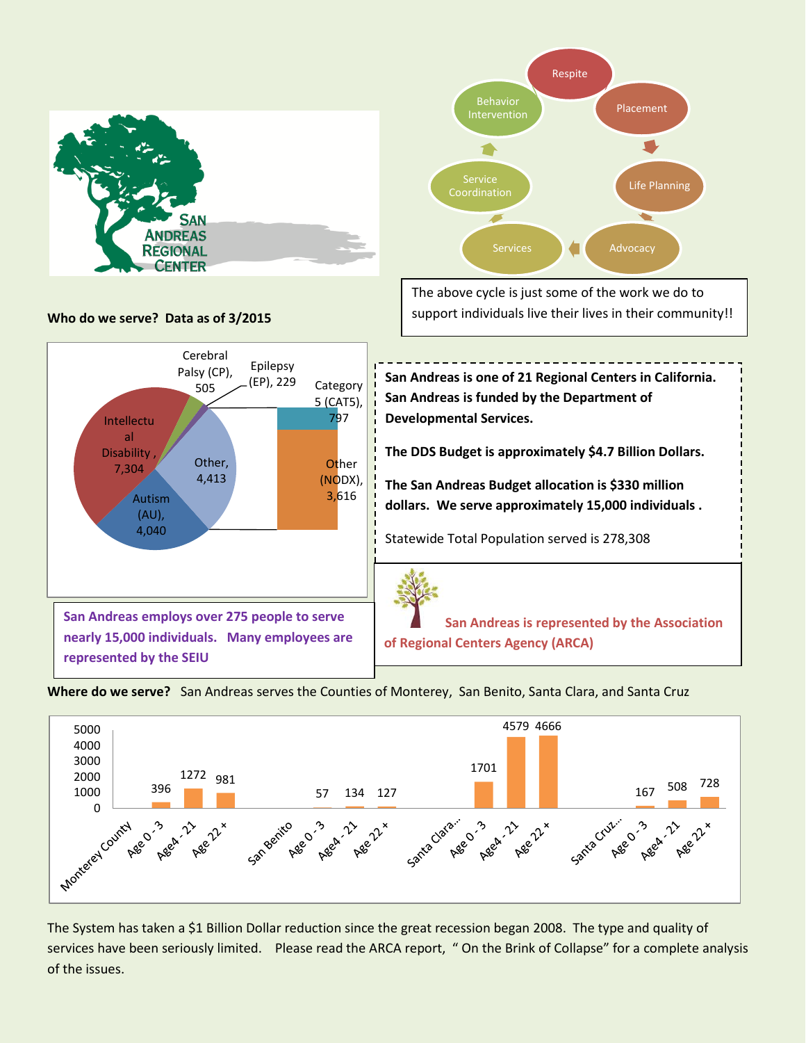



The above cycle is just some of the work we do to support individuals live their lives in their community!!









The System has taken a \$1 Billion Dollar reduction since the great recession began 2008. The type and quality of services have been seriously limited. Please read the ARCA report, " On the Brink of Collapse" for a complete analysis of the issues.